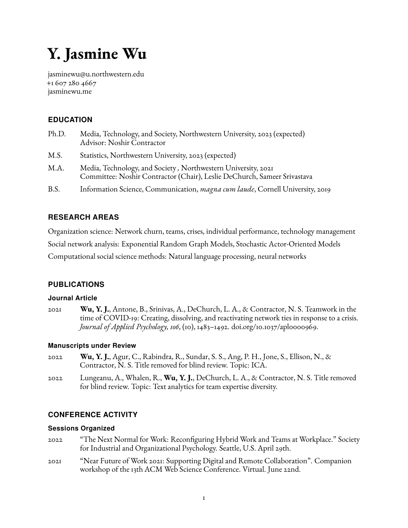# <span id="page-0-0"></span>**Y. Jasmine Wu**

[jasminewu@u.northwestern.edu](mailto:jasminewu@u.northwestern.edu) +1 607 280 4667 [jasminewu.me](www.jasminewu.me)

## **EDUCATION**

- Ph.D. Media, Technology, and Society, Northwestern University, 2023 (expected) Advisor: Noshir Contractor
- M.S. Statistics, Northwestern University, 2023 (expected)
- M.A. Media, Technology, and Society *,* Northwestern University, 2021 Committee: Noshir Contractor (Chair), Leslie DeChurch, Sameer Srivastava
- B.S. Information Science, Communication, *magna cum laude*, Cornell University, 2019

## **RESEARCH AREAS**

Organization science: Network churn, teams, crises, individual performance, technology management Social network analysis: Exponential Random Graph Models, Stochastic Actor-Oriented Models Computational social science methods: Natural language processing, neural networks

# **PUBLICATIONS**

## **Journal Article**

2021 **Wu, Y. J.**, Antone, B., Srinivas, A., DeChurch, L. A., & Contractor, N. S. Teamwork in the time of COVID-19: Creating, dissolving, and reactivating network ties in response to a crisis. *Journal of Applied Psychology, 106*, (10), 1483–1492. [doi.org/10.1037/apl0000969.](https://doi.org/10.1037/apl0000969)

## **Manuscripts under Review**

- 2022 **Wu, Y. J.**, Agur, C., Rabindra, R., Sundar, S. S., Ang, P. H., Jone, S., Ellison, N., & Contractor, N. S. Title removed for blind review. Topic: ICA.
- 2022 Lungeanu, A., Whalen, R., **Wu, Y. J.**, DeChurch, L. A., & Contractor, N. S. Title removed for blind review. Topic: Text analytics for team expertise diversity.

## **CONFERENCE ACTIVITY**

## **Sessions Organized**

- 2022 "The Next Normal for Work: Reconfiguring Hybrid Work and Teams at Workplace." Society for Industrial and Organizational Psychology. Seattle, U.S. April 29th.
- 2021 "Near Future of Work 2021: Supporting Digital and Remote Collaboration". Companion workshop of the 13th ACM Web Science Conference. Virtual. June 22nd.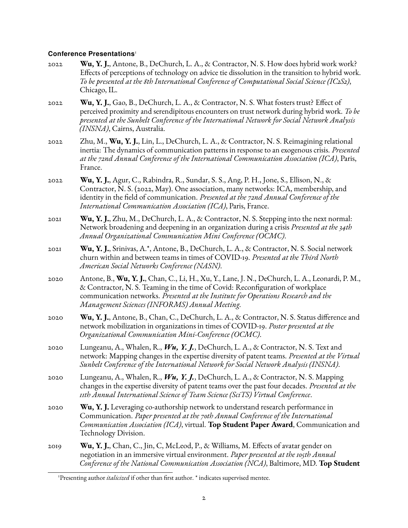#### **Conference Presentations**[1](#page-0-0)

- 2022 **Wu, Y. J.**, Antone, B., DeChurch, L. A., & Contractor, N. S. How does hybrid work work? Effects of perceptions of technology on advice tie dissolution in the transition to hybrid work. *To be presented at the 8th International Conference of Computational Social Science (IC2S2)*, Chicago, IL.
- 2022 **Wu, Y. J.**, Gao, B., DeChurch, L. A., & Contractor, N. S. What fosters trust? Effect of perceived proximity and serendipitous encounters on trust network during hybrid work. *To be presented at the Sunbelt Conference of the International Network for Social Network Analysis (INSNA)*, Cairns, Australia.
- 2022 Zhu, M., **Wu, Y. J.**, Lin, L., DeChurch, L. A., & Contractor, N. S. Reimagining relational inertia: The dynamics of communication patterns in response to an exogenous crisis. *Presented at the 72nd Annual Conference of the International Communication Association (ICA)*, Paris, France.
- 2022 **Wu, Y. J.**, Agur, C., Rabindra, R., Sundar, S. S., Ang, P. H., Jone, S., Ellison, N., & Contractor, N. S. (2022, May). One association, many networks: ICA, membership, and identity in the field of communication. *Presented at the 72nd Annual Conference of the International Communication Association (ICA)*, Paris, France.
- 2021 **Wu, Y. J.**, Zhu, M., DeChurch, L. A., & Contractor, N. S. Stepping into the next normal: Network broadening and deepening in an organization during a crisis *Presented at the 34th Annual Organizational Communication Mini Conference (OCMC)*.
- 2021 **Wu, Y. J.**, Srinivas, A.\*, Antone, B., DeChurch, L. A., & Contractor, N. S. Social network churn within and between teams in times of COVID-19. *Presented at the Third North American Social Networks Conference (NASN)*.
- 2020 Antone, B., **Wu, Y. J.**, Chan, C., Li, H., Xu, Y., Lane, J. N., DeChurch, L. A., Leonardi, P. M., & Contractor, N. S. Teaming in the time of Covid: Reconfiguration of workplace communication networks. *Presented at the Institute for Operations Research and the Management Sciences (INFORMS) Annual Meeting.*
- 2020 **Wu, Y. J.**, Antone, B., Chan, C., DeChurch, L. A., & Contractor, N. S. Status difference and network mobilization in organizations in times of COVID-19. *Poster presented at the Organizational Communication Mini-Conference (OCMC)*.
- 2020 Lungeanu, A., Whalen, R., *Wu, Y. J.*, DeChurch, L. A., & Contractor, N. S. Text and network: Mapping changes in the expertise diversity of patent teams. *Presented at the Virtual Sunbelt Conference of the International Network for Social Network Analysis (INSNA)*.
- 2020 Lungeanu, A., Whalen, R., *Wu, Y. J.*, DeChurch, L. A., & Contractor, N. S. Mapping changes in the expertise diversity of patent teams over the past four decades. *Presented at the 11th Annual International Science of Team Science (SciTS) Virtual Conference*.
- 2020 **Wu, Y. J.** Leveraging co-authorship network to understand research performance in Communication. *Paper presented at the 70th Annual Conference of the International Communication Association (ICA)*, virtual. **Top Student Paper Award**, Communication and Technology Division.
- 2019 **Wu, Y. J.**, Chan, C., Jin, C, McLeod, P., & Williams, M. Effects of avatar gender on negotiation in an immersive virtual environment. *Paper presented at the 105th Annual Conference of the National Communication Association (NCA)*, Baltimore, MD. **Top Student**

<sup>&</sup>lt;sup>1</sup>Presenting author *italicized* if other than first author. \* indicates supervised mentee.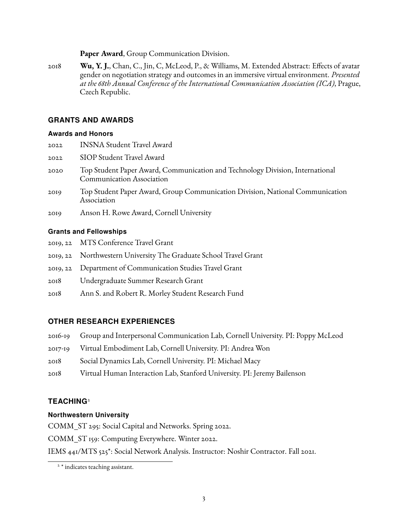**Paper Award**, Group Communication Division.

2018 **Wu, Y. J.**, Chan, C., Jin, C, McLeod, P., & Williams, M. Extended Abstract: Effects of avatar gender on negotiation strategy and outcomes in an immersive virtual environment. *Presented at the 68th Annual Conference of the International Communication Association (ICA)*, Prague, Czech Republic.

## **GRANTS AND AWARDS**

## **Awards and Honors**

| 2022 | INSNA Student Travel Award |
|------|----------------------------|
| 2022 | SIOP Student Travel Award  |

- 2020 Top Student Paper Award, Communication and Technology Division, International Communication Association
- 2019 Top Student Paper Award, Group Communication Division, National Communication Association
- 2019 Anson H. Rowe Award, Cornell University

## **Grants and Fellowships**

- 2019, 22 MTS Conference Travel Grant
- 2019, 22 Northwestern University The Graduate School Travel Grant
- 2019, 22 Department of Communication Studies Travel Grant
- 2018 Undergraduate Summer Research Grant
- 2018 Ann S. and Robert R. Morley Student Research Fund

# **OTHER RESEARCH EXPERIENCES**

- 2016-19 Group and Interpersonal Communication Lab, Cornell University. PI: Poppy McLeod
- 2017-19 Virtual Embodiment Lab, Cornell University. PI: Andrea Won
- 2018 Social Dynamics Lab, Cornell University. PI: Michael Macy
- 2018 Virtual Human Interaction Lab, Stanford University. PI: Jeremy Bailenson

# **TEACHING**[2](#page-0-0)

# **Northwestern University**

COMM\_ST 295: Social Capital and Networks. Spring 2022.

COMM\_ST 159: Computing Everywhere. Winter 2022.

IEMS 441/MTS 525\*: Social Network Analysis. Instructor: Noshir Contractor. Fall 2021.

<sup>&</sup>lt;sup>2</sup> \* indicates teaching assistant.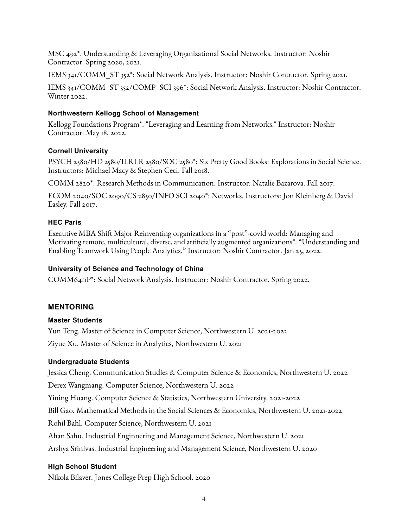MSC 492\*. Understanding & Leveraging Organizational Social Networks. Instructor: Noshir Contractor. Spring 2020, 2021.

IEMS 341/COMM\_ST 352\*: Social Network Analysis. Instructor: Noshir Contractor. Spring 2021.

IEMS 341/COMM\_ST 352/COMP\_SCI 396\*: Social Network Analysis. Instructor: Noshir Contractor. Winter 2022.

## **Northwestern Kellogg School of Management**

Kellogg Foundations Program\*. "Leveraging and Learning from Networks." Instructor: Noshir Contractor. May 18, 2022.

#### **Cornell University**

PSYCH 2580/HD 2580/ILRLR 2580/SOC 2580\*: Six Pretty Good Books: Explorations in Social Science. Instructors: Michael Macy & Stephen Ceci. Fall 2018.

COMM 2820\*: Research Methods in Communication. Instructor: Natalie Bazarova. Fall 2017.

ECOM 2040/SOC 2090/CS 2850/INFO SCI 2040\*: Networks. Instructors: Jon Kleinberg & David Easley. Fall 2017.

#### **HEC Paris**

Executive MBA Shift Major Reinventing organizations in a "post"-covid world: Managing and Motivating remote, multicultural, diverse, and artificially augmented organizations\*. "Understanding and Enabling Teamwork Using People Analytics." Instructor: Noshir Contractor. Jan 25, 2022.

#### **University of Science and Technology of China**

COMM6411P\*: Social Network Analysis. Instructor: Noshir Contractor. Spring 2022.

## **MENTORING**

## **Master Students**

Yun Teng. Master of Science in Computer Science, Northwestern U. 2021-2022 Ziyue Xu. Master of Science in Analytics, Northwestern U. 2021

## **Undergraduate Students**

Jessica Cheng. Communication Studies & Computer Science & Economics, Northwestern U. 2022

Derex Wangmang. Computer Science, Northwestern U. 2022

Yining Huang. Computer Science & Statistics, Northwestern University. 2021-2022

Bill Gao. Mathematical Methods in the Social Sciences & Economics, Northwestern U. 2021-2022

Rohil Bahl. Computer Science, Northwestern U. 2021

Ahan Sahu. Industrial Enginnering and Management Science, Northwestern U. 2021

Arshya Srinivas. Industrial Engineering and Management Science, Northwestern U. 2020

## **High School Student**

Nikola Bilaver. Jones College Prep High School. 2020